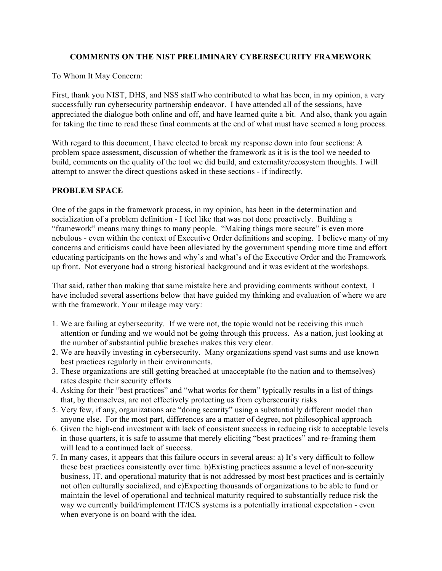### **COMMENTS ON THE NIST PRELIMINARY CYBERSECURITY FRAMEWORK**

To Whom It May Concern:

 First, thank you NIST, DHS, and NSS staff who contributed to what has been, in my opinion, a very successfully run cybersecurity partnership endeavor. I have attended all of the sessions, have appreciated the dialogue both online and off, and have learned quite a bit. And also, thank you again for taking the time to read these final comments at the end of what must have seemed a long process.

 With regard to this document, I have elected to break my response down into four sections: A problem space assessment, discussion of whether the framework as it is is the tool we needed to build, comments on the quality of the tool we did build, and externality/ecosystem thoughts. I will attempt to answer the direct questions asked in these sections - if indirectly.

## **PROBLEM SPACE**

 One of the gaps in the framework process, in my opinion, has been in the determination and socialization of a problem definition - I feel like that was not done proactively. Building a "framework" means many things to many people. "Making things more secure" is even more nebulous - even within the context of Executive Order definitions and scoping. I believe many of my concerns and criticisms could have been alleviated by the government spending more time and effort educating participants on the hows and why's and what's of the Executive Order and the Framework up front. Not everyone had a strong historical background and it was evident at the workshops.

 That said, rather than making that same mistake here and providing comments without context, I have included several assertions below that have guided my thinking and evaluation of where we are with the framework. Your mileage may vary:

- 1. We are failing at cybersecurity. If we were not, the topic would not be receiving this much attention or funding and we would not be going through this process. As a nation, just looking at the number of substantial public breaches makes this very clear.
- 2. We are heavily investing in cybersecurity. Many organizations spend vast sums and use known best practices regularly in their environments.
- 3. These organizations are still getting breached at unacceptable (to the nation and to themselves) rates despite their security efforts
- 4. Asking for their "best practices" and "what works for them" typically results in a list of things that, by themselves, are not effectively protecting us from cybersecurity risks
- 5. Very few, if any, organizations are "doing security" using a substantially different model than anyone else. For the most part, differences are a matter of degree, not philosophical approach
- 6. Given the high-end investment with lack of consistent success in reducing risk to acceptable levels in those quarters, it is safe to assume that merely eliciting "best practices" and re-framing them will lead to a continued lack of success.
- 7. In many cases, it appears that this failure occurs in several areas: a) It's very difficult to follow these best practices consistently over time. b)Existing practices assume a level of non-security business, IT, and operational maturity that is not addressed by most best practices and is certainly not often culturally socialized, and c)Expecting thousands of organizations to be able to fund or maintain the level of operational and technical maturity required to substantially reduce risk the way we currently build/implement IT/ICS systems is a potentially irrational expectation - even when everyone is on board with the idea.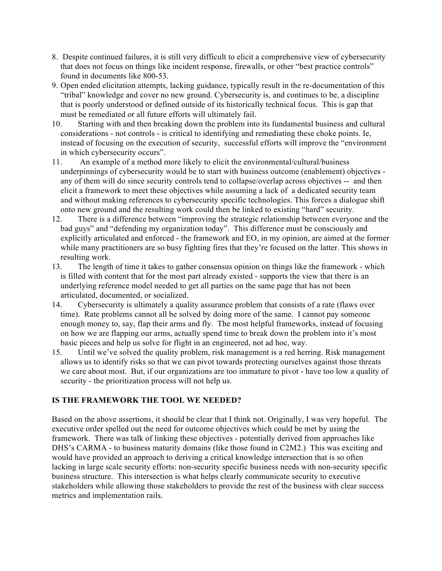- 8. Despite continued failures, it is still very difficult to elicit a comprehensive view of cybersecurity found in documents like 800-53. that does not focus on things like incident response, firewalls, or other "best practice controls"
- 9. Open ended elicitation attempts, lacking guidance, typically result in the re-documentation of this "tribal" knowledge and cover no new ground. Cybersecurity is, and continues to be, a discipline must be remediated or all future efforts will ultimately fail. that is poorly understood or defined outside of its historically technical focus. This is gap that
- 10. Starting with and then breaking down the problem into its fundamental business and cultural considerations - not controls - is critical to identifying and remediating these choke points. Ie, instead of focusing on the execution of security, successful efforts will improve the "environment in which cybersecurity occurs".
- 11. An example of a method more likely to elicit the environmental/cultural/business underpinnings of cybersecurity would be to start with business outcome (enablement) objectives - any of them will do since security controls tend to collapse/overlap across objectives -- and then elicit a framework to meet these objectives while assuming a lack of a dedicated security team and without making references to cybersecurity specific technologies. This forces a dialogue shift onto new ground and the resulting work could then be linked to existing "hard" security.
- 12. There is a difference between "improving the strategic relationship between everyone and the bad guys" and "defending my organization today". This difference must be consciously and explicitly articulated and enforced - the framework and EO, in my opinion, are aimed at the former while many practitioners are so busy fighting fires that they're focused on the latter. This shows in resulting work.
- 13. The length of time it takes to gather consensus opinion on things like the framework which is filled with content that for the most part already existed - supports the view that there is an underlying reference model needed to get all parties on the same page that has not been articulated, documented, or socialized.
- 14. Cybersecurity is ultimately a quality assurance problem that consists of a rate (flaws over time). Rate problems cannot all be solved by doing more of the same. I cannot pay someone enough money to, say, flap their arms and fly. The most helpful frameworks, instead of focusing on how we are flapping our arms, actually spend time to break down the problem into it's most basic pieces and help us solve for flight in an engineered, not ad hoc, way.
- 15. Until we've solved the quality problem, risk management is a red herring. Risk management allows us to identify risks so that we can pivot towards protecting ourselves against those threats we care about most. But, if our organizations are too immature to pivot - have too low a quality of security - the prioritization process will not help us.

# **IS THE FRAMEWORK THE TOOL WE NEEDED?**

 Based on the above assertions, it should be clear that I think not. Originally, I was very hopeful. The executive order spelled out the need for outcome objectives which could be met by using the framework. There was talk of linking these objectives - potentially derived from approaches like DHS's CARMA - to business maturity domains (like those found in C2M2.) This was exciting and would have provided an approach to deriving a critical knowledge intersection that is so often lacking in large scale security efforts: non-security specific business needs with non-security specific business structure. This intersection is what helps clearly communicate security to executive stakeholders while allowing those stakeholders to provide the rest of the business with clear success metrics and implementation rails.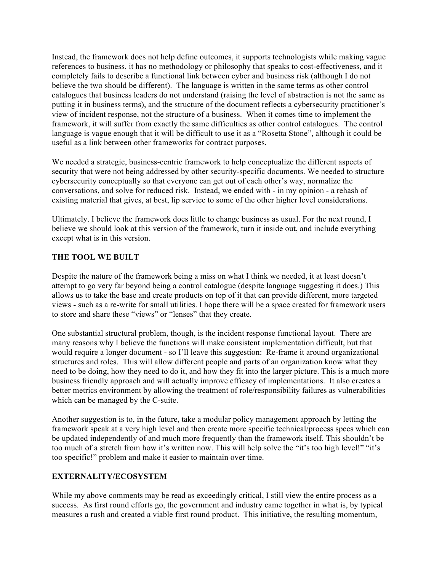Instead, the framework does not help define outcomes, it supports technologists while making vague references to business, it has no methodology or philosophy that speaks to cost-effectiveness, and it completely fails to describe a functional link between cyber and business risk (although I do not believe the two should be different). The language is written in the same terms as other control catalogues that business leaders do not understand (raising the level of abstraction is not the same as view of incident response, not the structure of a business. When it comes time to implement the framework, it will suffer from exactly the same difficulties as other control catalogues. The control useful as a link between other frameworks for contract purposes. putting it in business terms), and the structure of the document reflects a cybersecurity practitioner's language is vague enough that it will be difficult to use it as a "Rosetta Stone", although it could be

 We needed a strategic, business-centric framework to help conceptualize the different aspects of security that were not being addressed by other security-specific documents. We needed to structure cybersecurity conceptually so that everyone can get out of each other's way, normalize the conversations, and solve for reduced risk. Instead, we ended with - in my opinion - a rehash of existing material that gives, at best, lip service to some of the other higher level considerations.

 Ultimately. I believe the framework does little to change business as usual. For the next round, I believe we should look at this version of the framework, turn it inside out, and include everything except what is in this version.

### **THE TOOL WE BUILT**

 Despite the nature of the framework being a miss on what I think we needed, it at least doesn't attempt to go very far beyond being a control catalogue (despite language suggesting it does.) This allows us to take the base and create products on top of it that can provide different, more targeted views - such as a re-write for small utilities. I hope there will be a space created for framework users to store and share these "views" or "lenses" that they create.

 One substantial structural problem, though, is the incident response functional layout. There are many reasons why I believe the functions will make consistent implementation difficult, but that would require a longer document - so I'll leave this suggestion: Re-frame it around organizational structures and roles. This will allow different people and parts of an organization know what they need to be doing, how they need to do it, and how they fit into the larger picture. This is a much more business friendly approach and will actually improve efficacy of implementations. It also creates a better metrics environment by allowing the treatment of role/responsibility failures as vulnerabilities which can be managed by the C-suite.

 Another suggestion is to, in the future, take a modular policy management approach by letting the framework speak at a very high level and then create more specific technical/process specs which can be updated independently of and much more frequently than the framework itself. This shouldn't be too specific!" problem and make it easier to maintain over time. too much of a stretch from how it's written now. This will help solve the "it's too high level!" "it's

### **EXTERNALITY/ECOSYSTEM**

 While my above comments may be read as exceedingly critical, I still view the entire process as a success. As first round efforts go, the government and industry came together in what is, by typical measures a rush and created a viable first round product. This initiative, the resulting momentum,